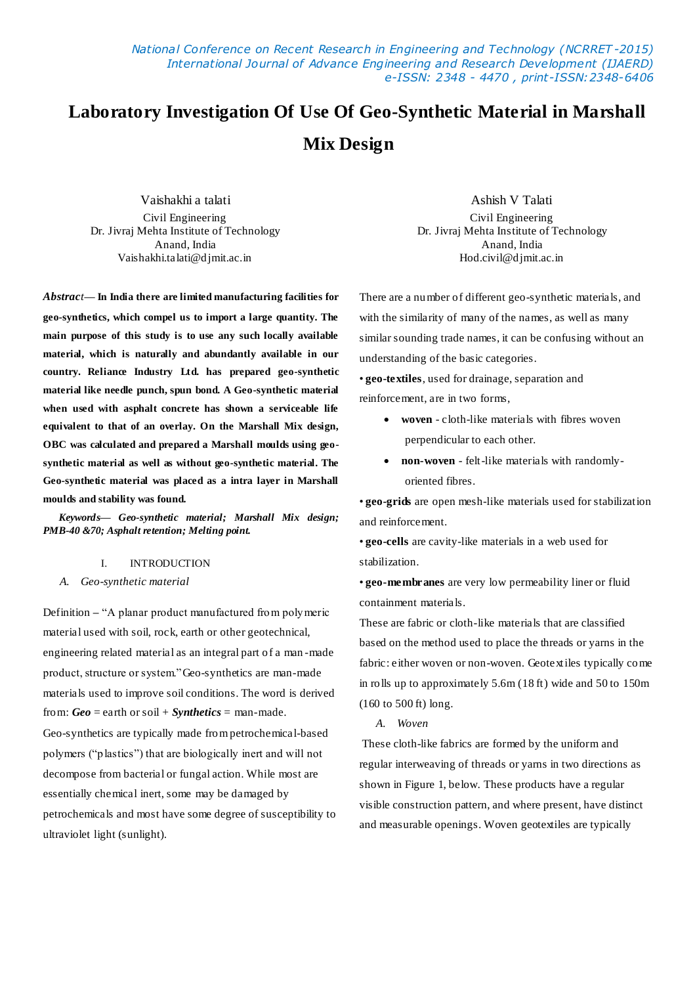*National Conference on Recent Research in Engineering and Technology (NCRRET -2015) International Journal of Advance Engineering and Research Development (IJAERD) e-ISSN: 2348 - 4470 , print-ISSN:2348-6406*

# **Laboratory Investigation Of Use Of Geo-Synthetic Material in Marshall Mix Design**

Vaishakhi a talati Civil Engineering Dr. Jivraj Mehta Institute of Technology Anand, India Vaishakhi.talati@djmit.ac.in

*Abstract***— In India there are limited manufacturing facilities for geo-synthetics, which compel us to import a large quantity. The main purpose of this study is to use any such locally available material, which is naturally and abundantly available in our country. Reliance Industry Ltd. has prepared geo-synthetic material like needle punch, spun bond. A Geo-synthetic material when used with asphalt concrete has shown a serviceable life equivalent to that of an overlay. On the Marshall Mix design, OBC was calculated and prepared a Marshall moulds using geosynthetic material as well as without geo-synthetic material. The Geo-synthetic material was placed as a intra layer in Marshall moulds and stability was found.**

*Keywords— Geo-synthetic material; Marshall Mix design; PMB-40 &70; Asphalt retention; Melting point.*

# I. INTRODUCTION

#### *A. Geo-synthetic material*

Definition **–** "A planar product manufactured from polymeric material used with soil, rock, earth or other geotechnical, engineering related material as an integral part of a man -made product, structure or system."Geo-synthetics are man-made materials used to improve soil conditions. The word is derived from: *Geo* = earth or soil + *Synthetics* = man-made. Geo-synthetics are typically made from petrochemical-based polymers ("plastics") that are biologically inert and will not decompose from bacterial or fungal action. While most are essentially chemical inert, some may be damaged by petrochemicals and most have some degree of susceptibility to ultraviolet light (sunlight).

Ashish V Talati Civil Engineering Dr. Jivraj Mehta Institute of Technology Anand, India Hod.civil@djmit.ac.in

There are a number of different geo-synthetic materials, and with the similarity of many of the names, as well as many similar sounding trade names, it can be confusing without an understanding of the basic categories.

• **geo-textiles**, used for drainage, separation and reinforcement, are in two forms,

- **woven**  cloth-like materials with fibres woven perpendicular to each other.
- **non-woven**  felt-like materials with randomlyoriented fibres.

• **geo-grids** are open mesh-like materials used for stabilization and reinforcement.

• **geo-cells** are cavity-like materials in a web used for stabilization.

• **geo-membranes** are very low permeability liner or fluid containment materials.

These are fabric or cloth-like materials that are classified based on the method used to place the threads or yarns in the fabric: either woven or non-woven. Geotextiles typically come in rolls up to approximately 5.6m (18 ft) wide and 50 to 150m (160 to 500 ft) long.

*A. Woven*

These cloth-like fabrics are formed by the uniform and regular interweaving of threads or yarns in two directions as shown in Figure 1, below. These products have a regular visible construction pattern, and where present, have distinct and measurable openings. Woven geotextiles are typically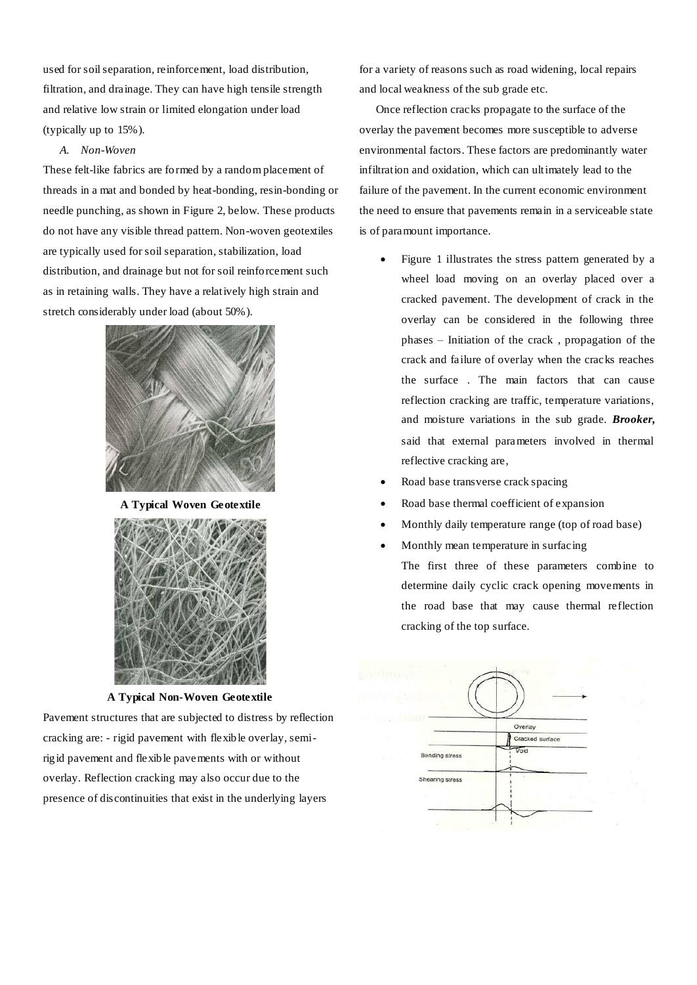used for soil separation, reinforcement, load distribution, filtration, and drainage. They can have high tensile strength and relative low strain or limited elongation under load (typically up to 15%).

#### *A. Non-Woven*

These felt-like fabrics are formed by a random placement of threads in a mat and bonded by heat-bonding, resin-bonding or needle punching, as shown in Figure 2, below. These products do not have any visible thread pattern. Non-woven geotextiles are typically used for soil separation, stabilization, load distribution, and drainage but not for soil reinforcement such as in retaining walls. They have a relatively high strain and stretch considerably under load (about 50%).



**A Typical Woven Geotextile**



**A Typical Non-Woven Geotextile**

Pavement structures that are subjected to distress by reflection cracking are: - rigid pavement with flexible overlay, semirigid pavement and flexible pavements with or without overlay. Reflection cracking may also occur due to the presence of discontinuities that exist in the underlying layers

for a variety of reasons such as road widening, local repairs and local weakness of the sub grade etc.

Once reflection cracks propagate to the surface of the overlay the pavement becomes more susceptible to adverse environmental factors. These factors are predominantly water infiltration and oxidation, which can ultimately lead to the failure of the pavement. In the current economic environment the need to ensure that pavements remain in a serviceable state is of paramount importance.

- Figure 1 illustrates the stress pattern generated by a wheel load moving on an overlay placed over a cracked pavement. The development of crack in the overlay can be considered in the following three phases – Initiation of the crack , propagation of the crack and failure of overlay when the cracks reaches the surface . The main factors that can cause reflection cracking are traffic, temperature variations, and moisture variations in the sub grade. *Brooker,* said that external parameters involved in thermal reflective cracking are,
- Road base transverse crack spacing
- Road base thermal coefficient of expansion
- Monthly daily temperature range (top of road base)
- Monthly mean temperature in surfacing The first three of these parameters combine to determine daily cyclic crack opening movements in the road base that may cause thermal reflection cracking of the top surface.

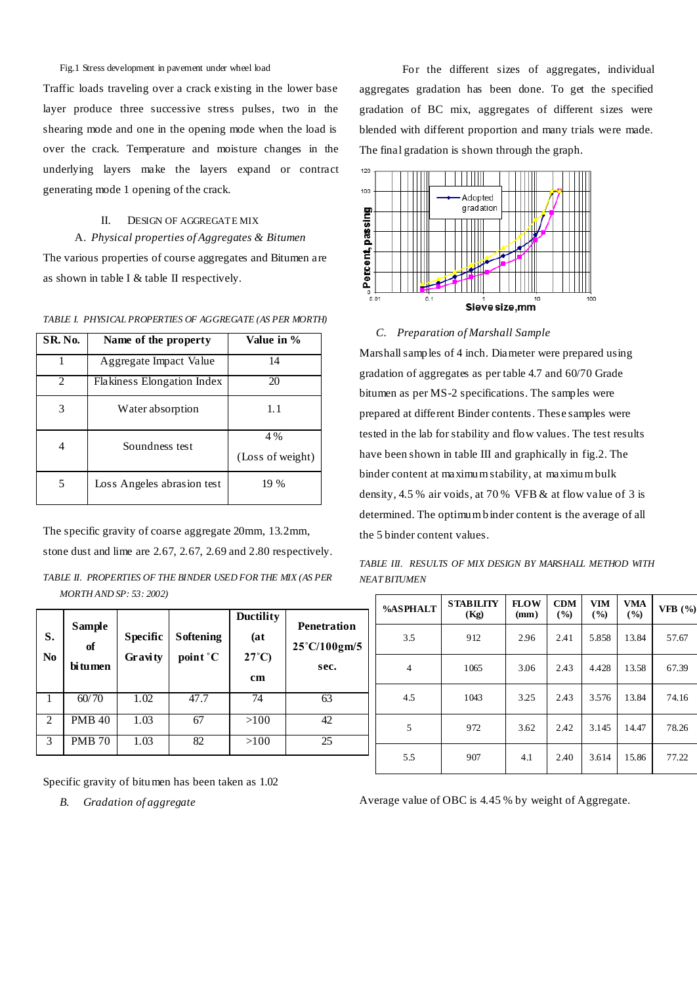Fig.1 Stress development in pavement under wheel load

Traffic loads traveling over a crack existing in the lower base layer produce three successive stress pulses, two in the shearing mode and one in the opening mode when the load is over the crack. Temperature and moisture changes in the underlying layers make the layers expand or contract generating mode 1 opening of the crack.

## II. DESIGN OF AGGREGATE MIX

A. *Physical properties of Aggregates & Bitumen* The various properties of course aggregates and Bitumen are as shown in table I & table II respectively.

*TABLE I. PHYSICAL PROPERTIES OF AGGREGATE (AS PER MORTH)*

| <b>SR. No.</b> | Name of the property              | Value in %              |
|----------------|-----------------------------------|-------------------------|
|                | Aggregate Impact Value            | 14                      |
| $\mathfrak{D}$ | <b>Flakiness Elongation Index</b> | 20                      |
| 3              | Water absorption                  | 1.1                     |
| 4              | Soundness test                    | 4 %<br>(Loss of weight) |
| 5              | Loss Angeles abrasion test        | 19 %                    |

The specific gravity of coarse aggregate 20mm, 13.2mm, stone dust and lime are 2.67, 2.67, 2.69 and 2.80 respectively.

|                         | TABLE II.  PROPERTIES OF THE BINDER USED FOR THE MIX (AS PER |  |
|-------------------------|--------------------------------------------------------------|--|
| MORTH AND SP: 53: 2002) |                                                              |  |

| S.<br>N <sub>0</sub> | <b>Sample</b><br>of<br>bi tumen | <b>Specific</b><br>Gravity | <b>Softening</b><br>point °C | <b>Ductility</b><br>(at<br>$27^{\circ}$ C)<br>cm | <b>Penetration</b><br>25°C/100gm/5<br>sec. |
|----------------------|---------------------------------|----------------------------|------------------------------|--------------------------------------------------|--------------------------------------------|
|                      | 60/70                           | 1.02                       | 47.7                         | 74                                               | 63                                         |
| $\overline{c}$       | <b>PMB 40</b>                   | 1.03                       | 67                           | >100                                             | 42                                         |
| 3                    | <b>PMB 70</b>                   | 1.03                       | 82                           | >100                                             | 25                                         |

Specific gravity of bitumen has been taken as 1.02

*B. Gradation of aggregate*

 For the different sizes of aggregates, individual aggregates gradation has been done. To get the specified gradation of BC mix, aggregates of different sizes were blended with different proportion and many trials were made. The final gradation is shown through the graph.



*C. Preparation of Marshall Sample* 

Marshall samples of 4 inch. Diameter were prepared using gradation of aggregates as per table 4.7 and 60/70 Grade bitumen as per MS-2 specifications. The samples were prepared at different Binder contents. These samples were tested in the lab for stability and flow values. The test results have been shown in table III and graphically in fig.2. The binder content at maximum stability, at maximum bulk density, 4.5 % air voids, at 70 % VFB & at flow value of 3 is determined. The optimum binder content is the average of all the 5 binder content values.

*TABLE III. RESULTS OF MIX DESIGN BY MARSHALL METHOD WITH NEAT BITUMEN*

| <b>%ASPHALT</b> | <b>STABILITY</b><br>(Kg) | <b>FLOW</b><br>(mm) | <b>CDM</b><br>(9/0) | <b>VIM</b><br>(9/0) | <b>VMA</b><br>(%) | VFB $(%)$ |
|-----------------|--------------------------|---------------------|---------------------|---------------------|-------------------|-----------|
| 3.5             | 912                      | 2.96                | 2.41                | 5.858               | 13.84             | 57.67     |
| 4               | 1065                     | 3.06                | 2.43                | 4.428               | 13.58             | 67.39     |
| 4.5             | 1043                     | 3.25                | 2.43                | 3.576               | 13.84             | 74.16     |
| 5               | 972                      | 3.62                | 2.42                | 3.145               | 14.47             | 78.26     |
| 5.5             | 907                      | 4.1                 | 2.40                | 3.614               | 15.86             | 77.22     |

Average value of OBC is 4.45 % by weight of Aggregate.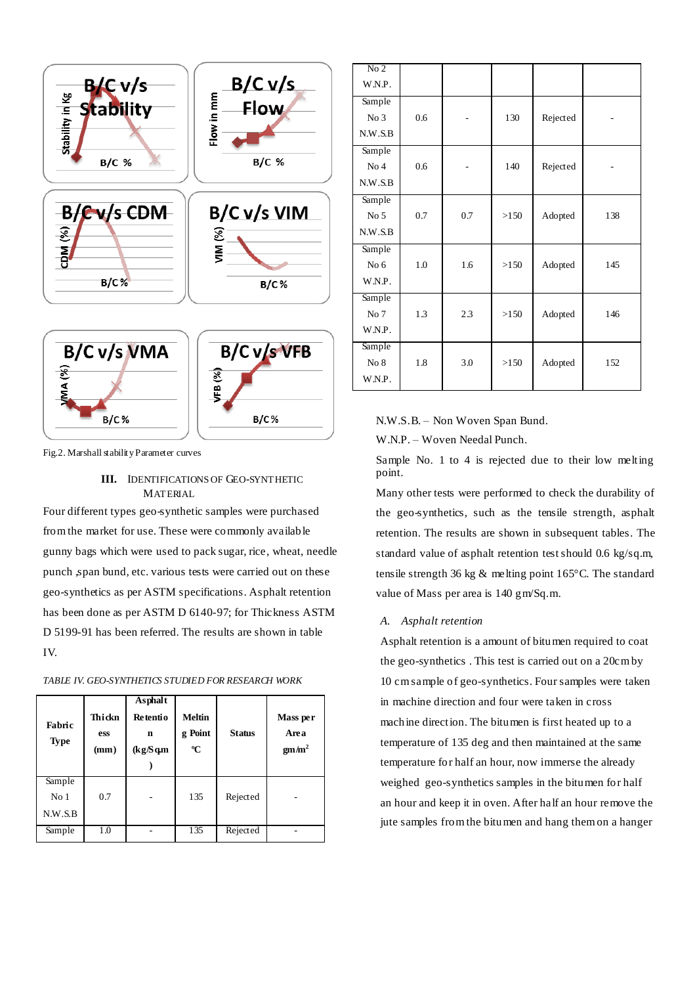

|  | Fig.2. Marshall stability Parameter curves |  |
|--|--------------------------------------------|--|
|  |                                            |  |

## **III.** IDENTIFICATIONS OF GEO-SYNTHETIC MATERIAL

Four different types geo-synthetic samples were purchased from the market for use. These were commonly available gunny bags which were used to pack sugar, rice, wheat, needle punch ,span bund, etc. various tests were carried out on these geo-synthetics as per ASTM specifications. Asphalt retention has been done as per ASTM D 6140-97; for Thickness ASTM D 5199-91 has been referred. The results are shown in table IV.

| Fabric<br><b>Type</b>                | Thickn<br>ess<br>(mm) | Asphalt<br><b>Retentio</b><br>n<br>(kg/Sq.m) | <b>Meltin</b><br>g Point<br>$\rm ^{o}C$ | <b>Status</b> | Mass per<br>Area<br>gm/m <sup>2</sup> |
|--------------------------------------|-----------------------|----------------------------------------------|-----------------------------------------|---------------|---------------------------------------|
| Sample<br>No <sub>1</sub><br>N.W.S.B | 0.7                   | ۰                                            | 135                                     | Rejected      |                                       |
| Sample                               | 1.0                   |                                              | 135                                     | Rejected      |                                       |

*TABLE IV. GEO-SYNTHETICS STUDIED FOR RESEARCH WORK*

| $\overline{No 2}$ |     |     |      |          |     |
|-------------------|-----|-----|------|----------|-----|
| W.N.P.            |     |     |      |          |     |
| Sample            |     |     |      |          |     |
| No <sub>3</sub>   | 0.6 |     | 130  | Rejected |     |
| N.W.S.B           |     |     |      |          |     |
| Sample            |     |     |      |          |     |
| No <sub>4</sub>   | 0.6 |     | 140  | Rejected |     |
| N.W.S.B           |     |     |      |          |     |
| Sample            |     |     |      |          |     |
| No <sub>5</sub>   | 0.7 | 0.7 | >150 | Adopted  | 138 |
| N.W.S.B           |     |     |      |          |     |
| Sample            |     |     |      |          |     |
| No <sub>6</sub>   | 1.0 | 1.6 | >150 | Adopted  | 145 |
| W.N.P.            |     |     |      |          |     |
| Sample            |     |     |      |          |     |
| No 7              | 1.3 | 2.3 | >150 | Adopted  | 146 |
| W.N.P.            |     |     |      |          |     |
| Sample            |     |     |      |          |     |
| No 8              | 1.8 | 3.0 | >150 | Adopted  | 152 |
| W.N.P.            |     |     |      |          |     |

N.W.S.B. – Non Woven Span Bund.

W.N.P. – Woven Needal Punch.

Sample No. 1 to 4 is rejected due to their low melting point.

Many other tests were performed to check the durability of the geo-synthetics, such as the tensile strength, asphalt retention. The results are shown in subsequent tables. The standard value of asphalt retention test should 0.6 kg/sq.m, tensile strength 36 kg & melting point 165°C. The standard value of Mass per area is 140 gm/Sq.m.

#### *A. Asphalt retention*

Asphalt retention is a amount of bitumen required to coat the geo-synthetics . This test is carried out on a 20cm by 10 cm sample of geo-synthetics. Four samples were taken in machine direction and four were taken in cross machine direction. The bitumen is first heated up to a temperature of 135 deg and then maintained at the same temperature for half an hour, now immerse the already weighed geo-synthetics samples in the bitumen for half an hour and keep it in oven. After half an hour remove the jute samples from the bitumen and hang them on a hanger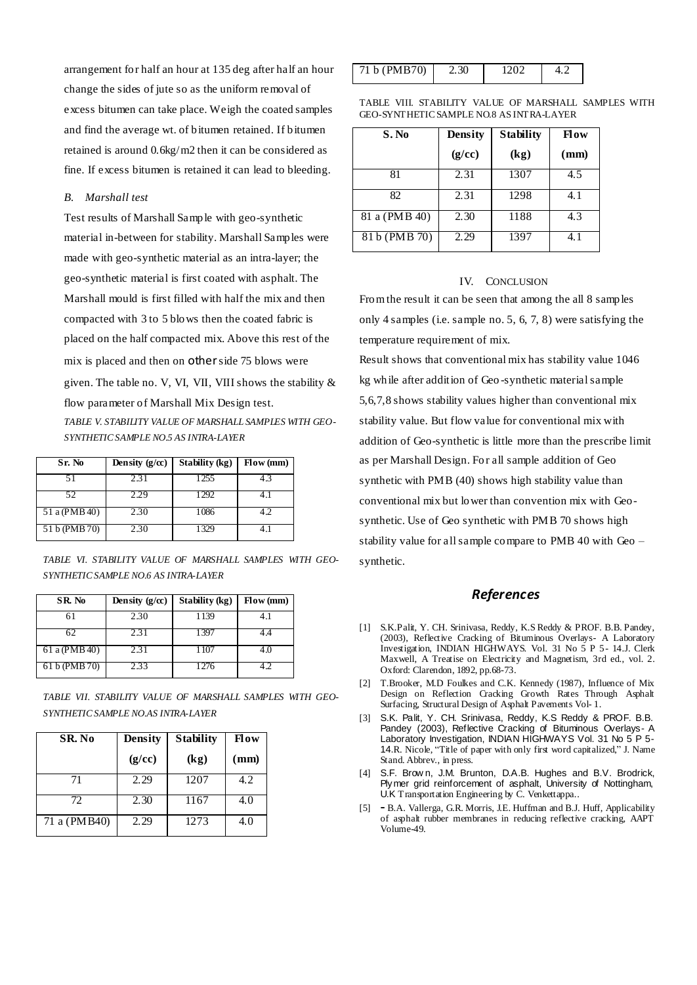arrangement for half an hour at 135 deg after half an hour change the sides of jute so as the uniform removal of excess bitumen can take place. Weigh the coated samples and find the average wt. of bitumen retained. If bitumen retained is around 0.6kg/m2 then it can be considered as fine. If excess bitumen is retained it can lead to bleeding.

### *B. Marshall test*

Test results of Marshall Sample with geo-synthetic material in-between for stability. Marshall Samples were made with geo-synthetic material as an intra-layer; the geo-synthetic material is first coated with asphalt. The Marshall mould is first filled with half the mix and then compacted with 3 to 5 blows then the coated fabric is placed on the half compacted mix. Above this rest of the mix is placed and then on other side 75 blows were given. The table no. V, VI, VII, VIII shows the stability  $\&$ flow parameter of Marshall Mix Design test.

*TABLE V. STABILITY VALUE OF MARSHALL SAMPLES WITH GEO-SYNTHETIC SAMPLE NO.5 AS INTRA-LAYER*

| Sr. No        | Density $(g/cc)$ | Stability (kg) | Flow (mm) |
|---------------|------------------|----------------|-----------|
|               | 2.31             | 1255           | 43        |
| 52            | 2.29             | 1292           |           |
| 51 a (PMB 40) | 2.30             | 1086           | 1 (       |
| 51 b (PMB 70) | 2.30             | 1329           |           |

*TABLE VI. STABILITY VALUE OF MARSHALL SAMPLES WITH GEO-SYNTHETIC SAMPLE NO.6 AS INTRA-LAYER*

| SR. No.       | Density $(g/cc)$ | Stability (kg) | Flow (mm) |
|---------------|------------------|----------------|-----------|
| 61            | 2.30             | 1139           | 4.1       |
| 62            | 2.31             | 1397           |           |
| 61 a (PMB 40) | 2.31             |                |           |
| 61 b (PMB 70) | 2.33             | 1276           |           |

*TABLE VII. STABILITY VALUE OF MARSHALL SAMPLES WITH GEO-SYNTHETIC SAMPLE NO.AS INTRA-LAYER*

| SR. No       | <b>Density</b> | <b>Stability</b> | <b>Flow</b> |
|--------------|----------------|------------------|-------------|
|              | (g/cc)         | (kg)             | (mm)        |
| 71           | 2.29           | 1207             | 4.2         |
| 72.          | 2.30           | 1167             | 4.0         |
| 71 a (PMB40) | 2.29           | 1273             | 4.0         |

| 71 b (PMB70) | 2.30 | ے 00ء |  |
|--------------|------|-------|--|
|--------------|------|-------|--|

TABLE VIII. STABILITY VALUE OF MARSHALL SAMPLES WITH GEO-SYNTHETIC SAMPLE NO.8 AS INTRA-LAYER

| S. No         | <b>Density</b> | <b>Stability</b> | Flow |
|---------------|----------------|------------------|------|
|               | (g/cc)         | (kg)             | (mm) |
| 81            | 2.31           | 1307             | 4.5  |
| 82.           | 2.31           | 1298             | 4.1  |
| 81 a (PMB 40) | 2.30           | 1188             | 4.3  |
| 81 b (PMB 70) | 2.29           | 1397             |      |

#### IV. CONCLUSION

From the result it can be seen that among the all 8 samples only 4 samples (i.e. sample no. 5, 6, 7, 8) were satisfying the temperature requirement of mix.

Result shows that conventional mix has stability value 1046 kg while after addition of Geo -synthetic material sample 5,6,7,8 shows stability values higher than conventional mix stability value. But flow value for conventional mix with addition of Geo-synthetic is little more than the prescribe limit as per Marshall Design. Fo r all sample addition of Geo synthetic with PMB (40) shows high stability value than conventional mix but lower than convention mix with Geosynthetic. Use of Geo synthetic with PMB 70 shows high stability value for all sample compare to PMB 40 with Geo – synthetic.

# *References*

- [1] S.K.Palit, Y. CH. Srinivasa, Reddy, K.S Reddy & PROF. B.B. Pandey, (2003), Reflective Cracking of Bituminous Overlays- A Laboratory Investigation, INDIAN HIGHWAYS. Vol. 31 No 5 P 5- 14.J. Clerk Maxwell, A Treatise on Electricity and Magnetism, 3rd ed., vol. 2. Oxford: Clarendon, 1892, pp.68-73.
- [2] T.Brooker, M.D Foulkes and C.K. Kennedy (1987), Influence of Mix Design on Reflection Cracking Growth Rates Through Asphalt Surfacing, Structural Design of Asphalt Pavements Vol- 1.
- [3] S.K. Palit, Y. CH. Srinivasa, Reddy, K.S Reddy & PROF. B.B. Pandey (2003), Reflective Cracking of Bituminous Overlays- A Laboratory Investigation, INDIAN HIGHWAYS Vol. 31 No 5 P 5-14.R. Nicole, "Title of paper with only first word capitalized," J. Name Stand. Abbrev., in press.
- [4] S.F. Brow n, J.M. Brunton, D.A.B. Hughes and B.V. Brodrick, Plymer grid reinforcement of asphalt, University of Nottingham, U.K Transportation Engineering by C. Venkettappa..
- [5] **-** B.A. Vallerga, G.R. Morris, J.E. Huffman and B.J. Huff, Applicability of asphalt rubber membranes in reducing reflective cracking, AAPT Volume-49.